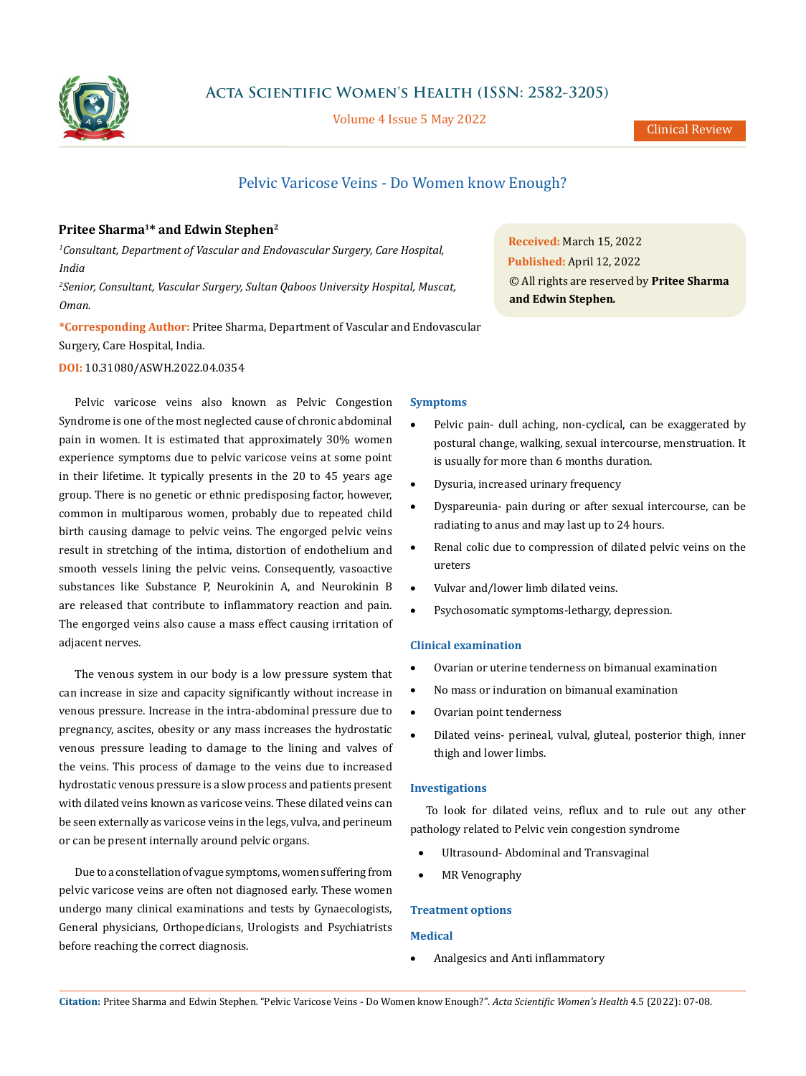

**Acta Scientific Women's Health (ISSN: 2582-3205)**

Volume 4 Issue 5 May 2022

# Pelvic Varicose Veins - Do Women know Enough?

# **Pritee Sharma1\* and Edwin Stephen2**

*1 Consultant, Department of Vascular and Endovascular Surgery, Care Hospital, India* 

*2 Senior, Consultant, Vascular Surgery, Sultan Qaboos University Hospital, Muscat, Oman.*

**\*Corresponding Author:** Pritee Sharma, Department of Vascular and Endovascular Surgery, Care Hospital, India.

# **DOI:** [10.31080/ASWH.2022.04.0354](http://actascientific.com/ASWH/pdf/ASWH-04-0354.pdf)

Pelvic varicose veins also known as Pelvic Congestion Syndrome is one of the most neglected cause of chronic abdominal pain in women. It is estimated that approximately 30% women experience symptoms due to pelvic varicose veins at some point in their lifetime. It typically presents in the 20 to 45 years age group. There is no genetic or ethnic predisposing factor, however, common in multiparous women, probably due to repeated child birth causing damage to pelvic veins. The engorged pelvic veins result in stretching of the intima, distortion of endothelium and smooth vessels lining the pelvic veins. Consequently, vasoactive substances like Substance P, Neurokinin A, and Neurokinin B are released that contribute to inflammatory reaction and pain. The engorged veins also cause a mass effect causing irritation of adjacent nerves.

The venous system in our body is a low pressure system that can increase in size and capacity significantly without increase in venous pressure. Increase in the intra-abdominal pressure due to pregnancy, ascites, obesity or any mass increases the hydrostatic venous pressure leading to damage to the lining and valves of the veins. This process of damage to the veins due to increased hydrostatic venous pressure is a slow process and patients present with dilated veins known as varicose veins. These dilated veins can be seen externally as varicose veins in the legs, vulva, and perineum or can be present internally around pelvic organs.

Due to a constellation of vague symptoms, women suffering from pelvic varicose veins are often not diagnosed early. These women undergo many clinical examinations and tests by Gynaecologists, General physicians, Orthopedicians, Urologists and Psychiatrists before reaching the correct diagnosis.

## **Symptoms**

• Pelvic pain- dull aching, non-cyclical, can be exaggerated by postural change, walking, sexual intercourse, menstruation. It is usually for more than 6 months duration.

**Received:** March 15, 2022 **Published:** April 12, 2022

**and Edwin Stephen***.*

© All rights are reserved by **Pritee Sharma** 

- Dysuria, increased urinary frequency
- • Dyspareunia- pain during or after sexual intercourse, can be radiating to anus and may last up to 24 hours.
- Renal colic due to compression of dilated pelvic veins on the ureters
- Vulvar and/lower limb dilated veins.
- Psychosomatic symptoms-lethargy, depression.

## **Clinical examination**

- Ovarian or uterine tenderness on bimanual examination
- • No mass or induration on bimanual examination
- • Ovarian point tenderness
- Dilated veins- perineal, vulval, gluteal, posterior thigh, inner thigh and lower limbs.

## **Investigations**

To look for dilated veins, reflux and to rule out any other pathology related to Pelvic vein congestion syndrome

- Ultrasound- Abdominal and Transvaginal
- **MR** Venography

## **Treatment options**

# **Medical**

• Analgesics and Anti inflammatory